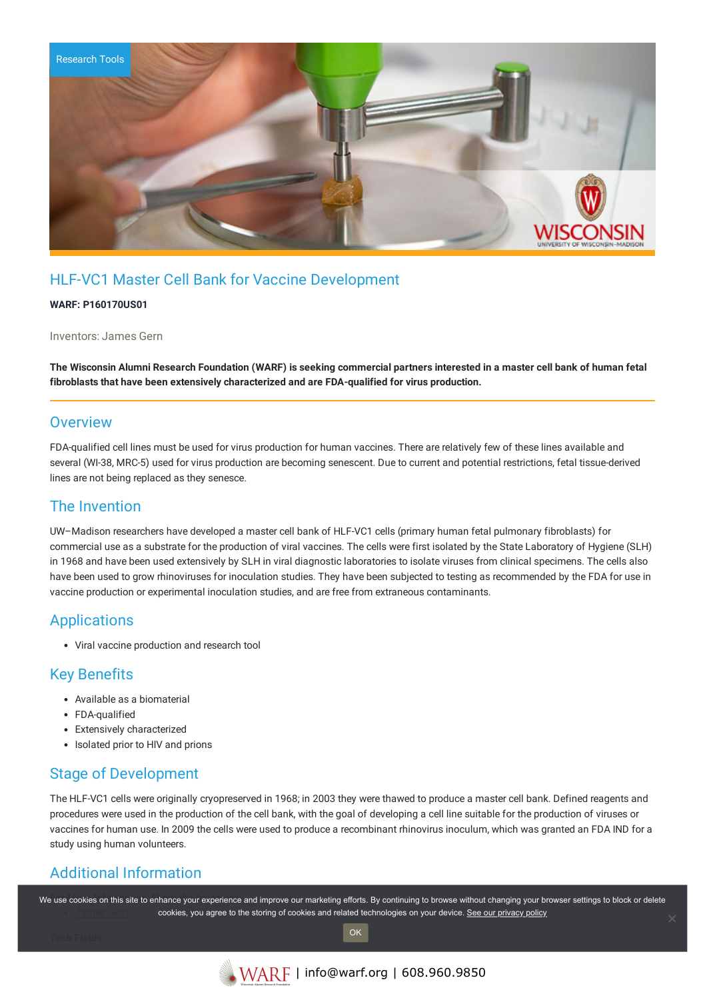

# HLF-VC1 Master Cell Bank for Vaccine Development

#### **WARF: P160170US01**

Inventors: James Gern

The Wisconsin Alumni Research Foundation (WARF) is seeking commercial partners interested in a master cell bank of human fetal **fibroblasts that have been extensively characterized and are FDA-qualified for virus production.**

#### **Overview**

FDA-qualified cell lines must be used for virus production for human vaccines. There are relatively few of these lines available and several (WI-38, MRC-5) used for virus production are becoming senescent. Due to current and potential restrictions, fetal tissue-derived lines are not being replaced as they senesce.

#### The Invention

UW–Madison researchers have developed a master cell bank of HLF-VC1 cells (primary human fetal pulmonary fibroblasts) for commercial use as a substrate for the production of viral vaccines. The cells were first isolated by the State Laboratory of Hygiene (SLH) in 1968 and have been used extensively by SLH in viral diagnostic laboratories to isolate viruses from clinical specimens. The cells also have been used to grow rhinoviruses for inoculation studies. They have been subjected to testing as recommended by the FDA for use in vaccine production or experimental inoculation studies, and are free from extraneous contaminants.

## Applications

Viral vaccine production and research tool

## Key Benefits

- Available as a biomaterial
- FDA-qualified
- Extensively characterized
- Isolated prior to HIV and prions

## Stage of Development

The HLF-VC1 cells were originally cryopreserved in 1968; in 2003 they were thawed to produce a master cell bank. Defined reagents and procedures were used in the production of the cell bank, with the goal of developing a cell line suitable for the production of viruses or vaccines for human use. In 2009 the cells were used to produce a recombinant rhinovirus inoculum, which was granted an FDA IND for a study using human volunteers.

# Additional Information

We use cookies on this site to enhance your experience and improve our marketing efforts. By continuing to browse without changing your browser settings to block or delete cookies, you agree to the storing of cookies and related technologies on your device. [See our privacy policy](https://www.warf.org/privacy-policy/)

OK